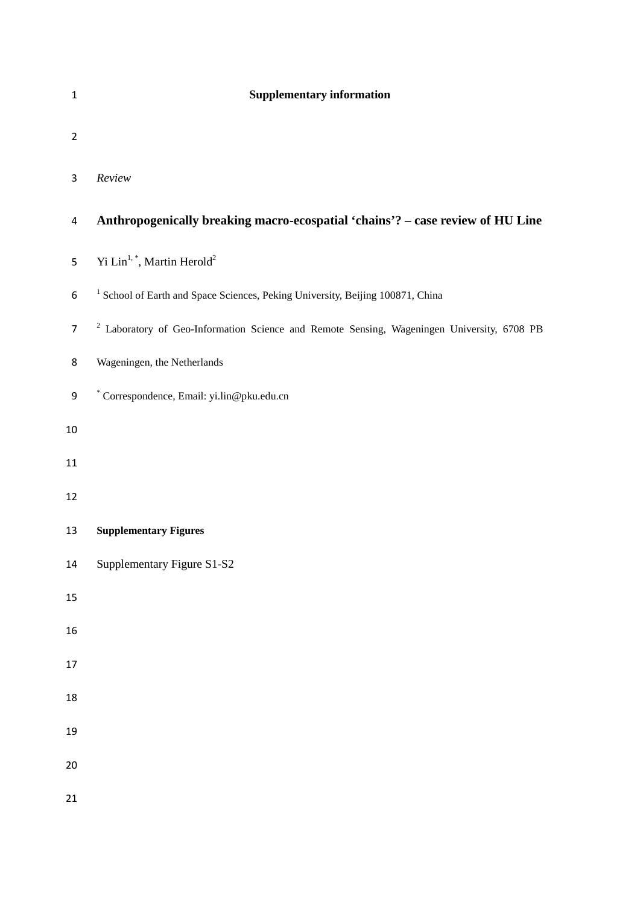| $\mathbf{1}$   | <b>Supplementary information</b>                                                                      |
|----------------|-------------------------------------------------------------------------------------------------------|
| $\overline{2}$ |                                                                                                       |
| 3              | Review                                                                                                |
| 4              | Anthropogenically breaking macro-ecospatial 'chains'? - case review of HU Line                        |
| 5              | Yi Lin <sup>1,*</sup> , Martin Herold <sup>2</sup>                                                    |
| 6              | <sup>1</sup> School of Earth and Space Sciences, Peking University, Beijing 100871, China             |
| $\overline{7}$ | <sup>2</sup> Laboratory of Geo-Information Science and Remote Sensing, Wageningen University, 6708 PB |
| 8              | Wageningen, the Netherlands                                                                           |
| 9              | * Correspondence, Email: yi.lin@pku.edu.cn                                                            |
| $10\,$         |                                                                                                       |
| 11             |                                                                                                       |
| 12             |                                                                                                       |
| 13             | <b>Supplementary Figures</b>                                                                          |
| 14             | Supplementary Figure S1-S2                                                                            |
| 15             |                                                                                                       |
| 16             |                                                                                                       |
| 17             |                                                                                                       |
| 18             |                                                                                                       |
| 19             |                                                                                                       |
| 20             |                                                                                                       |
| 21             |                                                                                                       |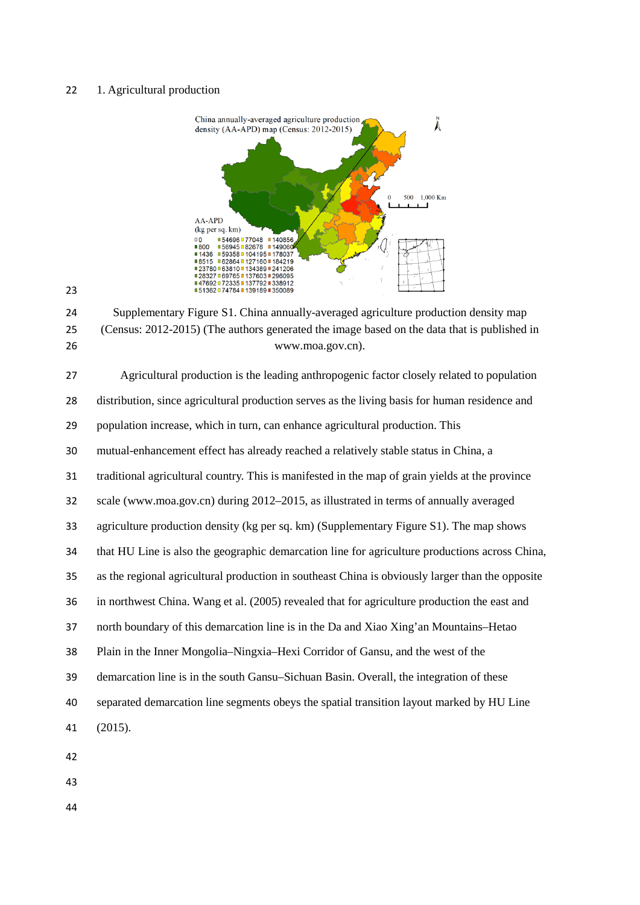## 1. Agricultural production



 Supplementary Figure S1. China annually-averaged agriculture production density map (Census: 2012-2015) (The authors generated the image based on the data that is published in www.moa.gov.cn).

 Agricultural production is the leading anthropogenic factor closely related to population distribution, since agricultural production serves as the living basis for human residence and population increase, which in turn, can enhance agricultural production. This mutual-enhancement effect has already reached a relatively stable status in China, a traditional agricultural country. This is manifested in the map of grain yields at the province scale (www.moa.gov.cn) during 2012–2015, as illustrated in terms of annually averaged agriculture production density (kg per sq. km) (Supplementary Figure S1). The map shows that HU Line is also the geographic demarcation line for agriculture productions across China, as the regional agricultural production in southeast China is obviously larger than the opposite in northwest China. Wang et al. (2005) revealed that for agriculture production the east and north boundary of this demarcation line is in the Da and Xiao Xing'an Mountains–Hetao Plain in the Inner Mongolia–Ningxia–Hexi Corridor of Gansu, and the west of the demarcation line is in the south Gansu–Sichuan Basin. Overall, the integration of these separated demarcation line segments obeys the spatial transition layout marked by HU Line (2015). 

- 
-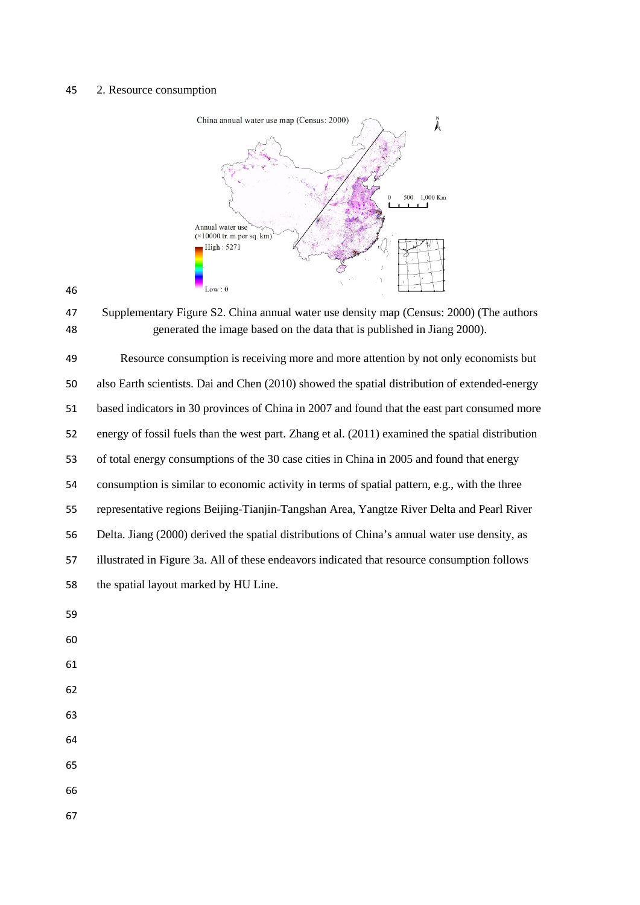## 2. Resource consumption



 Supplementary Figure S2. China annual water use density map (Census: 2000) (The authors generated the image based on the data that is published in Jiang 2000).

 Resource consumption is receiving more and more attention by not only economists but also Earth scientists. Dai and Chen (2010) showed the spatial distribution of extended-energy based indicators in 30 provinces of China in 2007 and found that the east part consumed more energy of fossil fuels than the west part. Zhang et al. (2011) examined the spatial distribution of total energy consumptions of the 30 case cities in China in 2005 and found that energy consumption is similar to economic activity in terms of spatial pattern, e.g., with the three representative regions Beijing-Tianjin-Tangshan Area, Yangtze River Delta and Pearl River Delta. Jiang (2000) derived the spatial distributions of China's annual water use density, as illustrated in Figure 3a. All of these endeavors indicated that resource consumption follows the spatial layout marked by HU Line.

- 
- 
- 
- 

- 
-